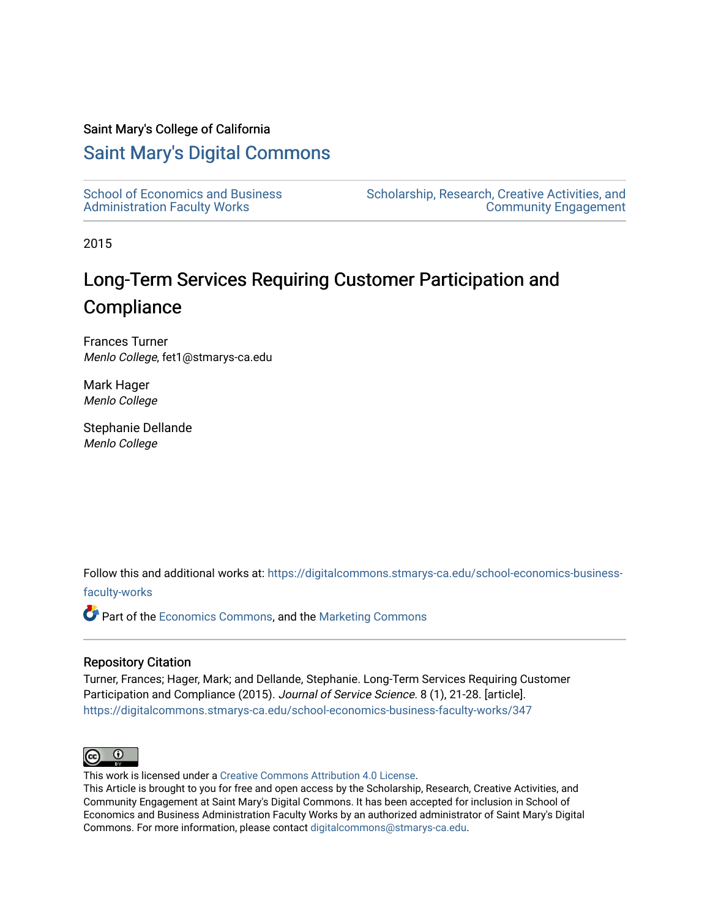#### Saint Mary's College of California

### [Saint Mary's Digital Commons](https://digitalcommons.stmarys-ca.edu/)

| <b>School of Economics and Business</b> | Scholars |
|-----------------------------------------|----------|
| <b>Administration Faculty Works</b>     |          |

ship, Research, Creative Activities, and [Community Engagement](https://digitalcommons.stmarys-ca.edu/scholarship-research-community) 

2015

## Long-Term Services Requiring Customer Participation and **Compliance**

Frances Turner Menlo College, fet1@stmarys-ca.edu

Mark Hager Menlo College

Stephanie Dellande Menlo College

Follow this and additional works at: [https://digitalcommons.stmarys-ca.edu/school-economics-business](https://digitalcommons.stmarys-ca.edu/school-economics-business-faculty-works?utm_source=digitalcommons.stmarys-ca.edu%2Fschool-economics-business-faculty-works%2F347&utm_medium=PDF&utm_campaign=PDFCoverPages)[faculty-works](https://digitalcommons.stmarys-ca.edu/school-economics-business-faculty-works?utm_source=digitalcommons.stmarys-ca.edu%2Fschool-economics-business-faculty-works%2F347&utm_medium=PDF&utm_campaign=PDFCoverPages) 

Part of the [Economics Commons](http://network.bepress.com/hgg/discipline/340?utm_source=digitalcommons.stmarys-ca.edu%2Fschool-economics-business-faculty-works%2F347&utm_medium=PDF&utm_campaign=PDFCoverPages), and the [Marketing Commons](http://network.bepress.com/hgg/discipline/638?utm_source=digitalcommons.stmarys-ca.edu%2Fschool-economics-business-faculty-works%2F347&utm_medium=PDF&utm_campaign=PDFCoverPages)

#### Repository Citation

Turner, Frances; Hager, Mark; and Dellande, Stephanie. Long-Term Services Requiring Customer Participation and Compliance (2015). Journal of Service Science. 8 (1), 21-28. [article]. [https://digitalcommons.stmarys-ca.edu/school-economics-business-faculty-works/347](https://digitalcommons.stmarys-ca.edu/school-economics-business-faculty-works/347?utm_source=digitalcommons.stmarys-ca.edu%2Fschool-economics-business-faculty-works%2F347&utm_medium=PDF&utm_campaign=PDFCoverPages) 



This work is licensed under a [Creative Commons Attribution 4.0 License](https://creativecommons.org/licenses/by/4.0/).

This Article is brought to you for free and open access by the Scholarship, Research, Creative Activities, and Community Engagement at Saint Mary's Digital Commons. It has been accepted for inclusion in School of Economics and Business Administration Faculty Works by an authorized administrator of Saint Mary's Digital Commons. For more information, please contact [digitalcommons@stmarys-ca.edu](mailto:digitalcommons@stmarys-ca.edu).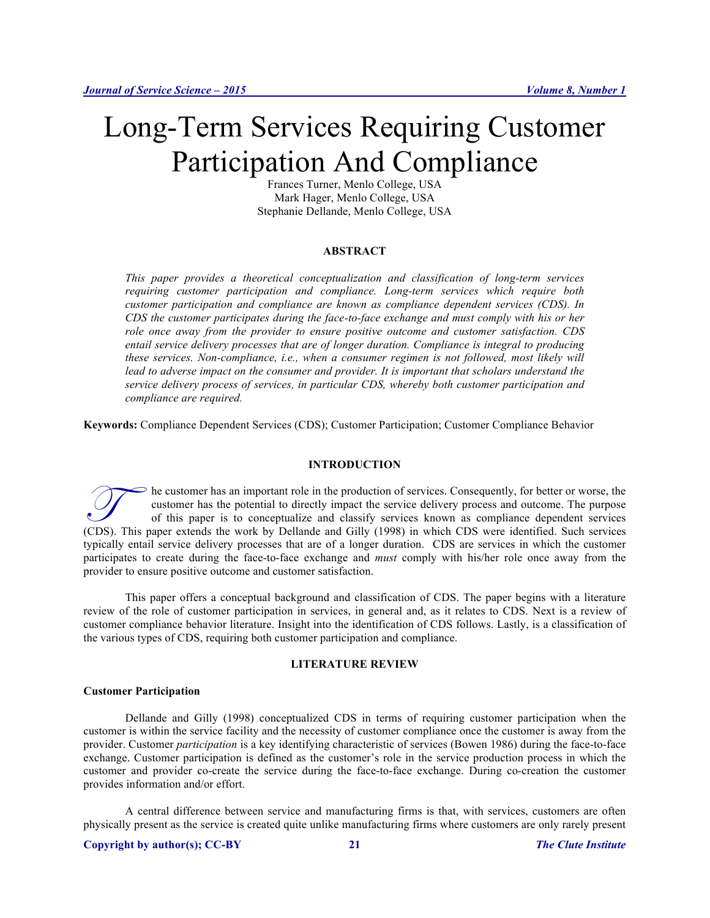# Long-Term Services Requiring Customer Participation And Compliance

Frances Turner, Menlo College, USA Mark Hager, Menlo College, USA Stephanie Dellande, Menlo College, USA

#### **ABSTRACT**

*This paper provides a theoretical conceptualization and classification of long-term services requiring customer participation and compliance. Long-term services which require both customer participation and compliance are known as compliance dependent services (CDS). In CDS the customer participates during the face-to-face exchange and must comply with his or her role once away from the provider to ensure positive outcome and customer satisfaction. CDS entail service delivery processes that are of longer duration. Compliance is integral to producing these services. Non-compliance, i.e., when a consumer regimen is not followed, most likely will*  lead to adverse impact on the consumer and provider. It is important that scholars understand the *service delivery process of services, in particular CDS, whereby both customer participation and compliance are required.*

**Keywords:** Compliance Dependent Services (CDS); Customer Participation; Customer Compliance Behavior

#### **INTRODUCTION**

he customer has an important role in the production of services. Consequently, for better or worse, the customer has the potential to directly impact the service delivery process and outcome. The purpose of this paper is to conceptualize and classify services known as compliance dependent services The customer has an important role in the production of services. Consequently, for better or worse, the customer has the potential to directly impact the service delivery process and outcome. The purpose of this paper is typically entail service delivery processes that are of a longer duration. CDS are services in which the customer participates to create during the face-to-face exchange and *must* comply with his/her role once away from the provider to ensure positive outcome and customer satisfaction.

This paper offers a conceptual background and classification of CDS. The paper begins with a literature review of the role of customer participation in services, in general and, as it relates to CDS. Next is a review of customer compliance behavior literature. Insight into the identification of CDS follows. Lastly, is a classification of the various types of CDS, requiring both customer participation and compliance.

#### **LITERATURE REVIEW**

#### **Customer Participation**

Dellande and Gilly (1998) conceptualized CDS in terms of requiring customer participation when the customer is within the service facility and the necessity of customer compliance once the customer is away from the provider. Customer *participation* is a key identifying characteristic of services (Bowen 1986) during the face-to-face exchange. Customer participation is defined as the customer's role in the service production process in which the customer and provider co-create the service during the face-to-face exchange. During co-creation the customer provides information and/or effort.

A central difference between service and manufacturing firms is that, with services, customers are often physically present as the service is created quite unlike manufacturing firms where customers are only rarely present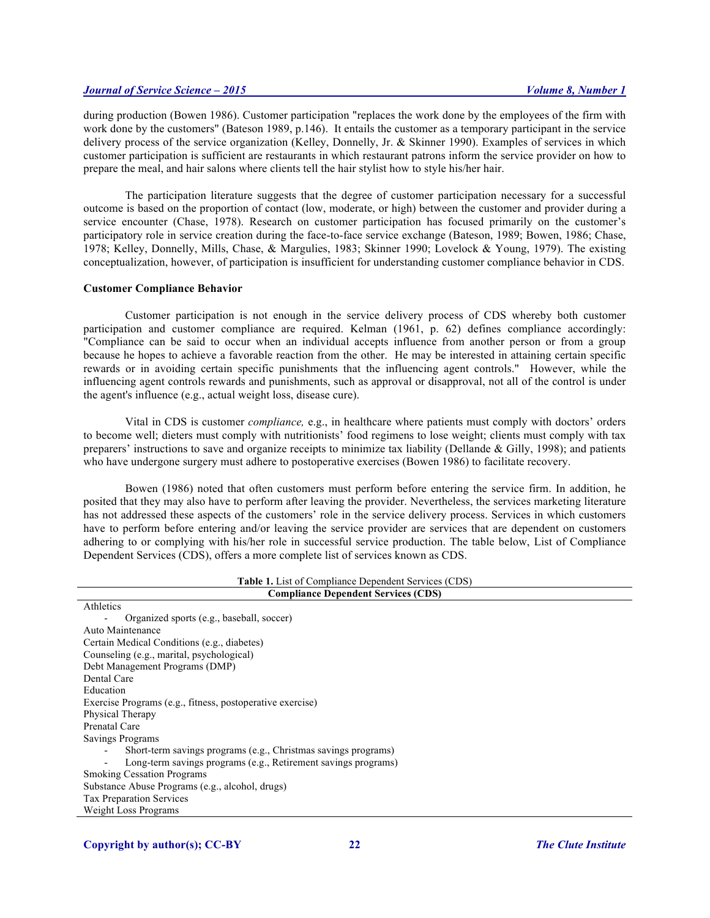during production (Bowen 1986). Customer participation "replaces the work done by the employees of the firm with work done by the customers" (Bateson 1989, p.146). It entails the customer as a temporary participant in the service delivery process of the service organization (Kelley, Donnelly, Jr. & Skinner 1990). Examples of services in which customer participation is sufficient are restaurants in which restaurant patrons inform the service provider on how to prepare the meal, and hair salons where clients tell the hair stylist how to style his/her hair.

The participation literature suggests that the degree of customer participation necessary for a successful outcome is based on the proportion of contact (low, moderate, or high) between the customer and provider during a service encounter (Chase, 1978). Research on customer participation has focused primarily on the customer's participatory role in service creation during the face-to-face service exchange (Bateson, 1989; Bowen, 1986; Chase, 1978; Kelley, Donnelly, Mills, Chase, & Margulies, 1983; Skinner 1990; Lovelock & Young, 1979). The existing conceptualization, however, of participation is insufficient for understanding customer compliance behavior in CDS.

#### **Customer Compliance Behavior**

Customer participation is not enough in the service delivery process of CDS whereby both customer participation and customer compliance are required. Kelman (1961, p. 62) defines compliance accordingly: "Compliance can be said to occur when an individual accepts influence from another person or from a group because he hopes to achieve a favorable reaction from the other. He may be interested in attaining certain specific rewards or in avoiding certain specific punishments that the influencing agent controls." However, while the influencing agent controls rewards and punishments, such as approval or disapproval, not all of the control is under the agent's influence (e.g., actual weight loss, disease cure).

Vital in CDS is customer *compliance,* e.g., in healthcare where patients must comply with doctors' orders to become well; dieters must comply with nutritionists' food regimens to lose weight; clients must comply with tax preparers' instructions to save and organize receipts to minimize tax liability (Dellande & Gilly, 1998); and patients who have undergone surgery must adhere to postoperative exercises (Bowen 1986) to facilitate recovery.

Bowen (1986) noted that often customers must perform before entering the service firm. In addition, he posited that they may also have to perform after leaving the provider. Nevertheless, the services marketing literature has not addressed these aspects of the customers' role in the service delivery process. Services in which customers have to perform before entering and/or leaving the service provider are services that are dependent on customers adhering to or complying with his/her role in successful service production. The table below, List of Compliance Dependent Services (CDS), offers a more complete list of services known as CDS.

| <b>Table 1.</b> List of Compliance Dependent Services (CDS)    |  |  |  |  |
|----------------------------------------------------------------|--|--|--|--|
| <b>Compliance Dependent Services (CDS)</b>                     |  |  |  |  |
| Athletics                                                      |  |  |  |  |
| Organized sports (e.g., baseball, soccer)                      |  |  |  |  |
| Auto Maintenance                                               |  |  |  |  |
| Certain Medical Conditions (e.g., diabetes)                    |  |  |  |  |
| Counseling (e.g., marital, psychological)                      |  |  |  |  |
| Debt Management Programs (DMP)                                 |  |  |  |  |
| Dental Care                                                    |  |  |  |  |
| Education                                                      |  |  |  |  |
| Exercise Programs (e.g., fitness, postoperative exercise)      |  |  |  |  |
| Physical Therapy                                               |  |  |  |  |
| Prenatal Care                                                  |  |  |  |  |
| Savings Programs                                               |  |  |  |  |
| Short-term savings programs (e.g., Christmas savings programs) |  |  |  |  |
| Long-term savings programs (e.g., Retirement savings programs) |  |  |  |  |
| <b>Smoking Cessation Programs</b>                              |  |  |  |  |
| Substance Abuse Programs (e.g., alcohol, drugs)                |  |  |  |  |
| <b>Tax Preparation Services</b>                                |  |  |  |  |
| Weight Loss Programs                                           |  |  |  |  |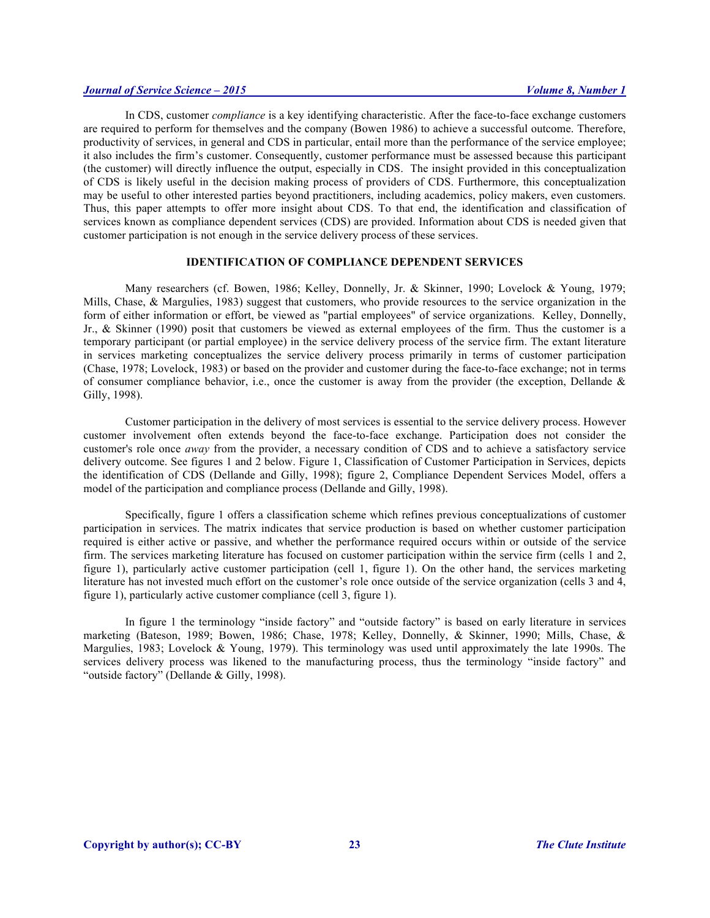In CDS, customer *compliance* is a key identifying characteristic. After the face-to-face exchange customers are required to perform for themselves and the company (Bowen 1986) to achieve a successful outcome. Therefore, productivity of services, in general and CDS in particular, entail more than the performance of the service employee; it also includes the firm's customer. Consequently, customer performance must be assessed because this participant (the customer) will directly influence the output, especially in CDS. The insight provided in this conceptualization of CDS is likely useful in the decision making process of providers of CDS. Furthermore, this conceptualization may be useful to other interested parties beyond practitioners, including academics, policy makers, even customers. Thus, this paper attempts to offer more insight about CDS. To that end, the identification and classification of services known as compliance dependent services (CDS) are provided. Information about CDS is needed given that customer participation is not enough in the service delivery process of these services.

#### **IDENTIFICATION OF COMPLIANCE DEPENDENT SERVICES**

Many researchers (cf. Bowen, 1986; Kelley, Donnelly, Jr. & Skinner, 1990; Lovelock & Young, 1979; Mills, Chase, & Margulies, 1983) suggest that customers, who provide resources to the service organization in the form of either information or effort, be viewed as "partial employees" of service organizations. Kelley, Donnelly, Jr., & Skinner (1990) posit that customers be viewed as external employees of the firm. Thus the customer is a temporary participant (or partial employee) in the service delivery process of the service firm. The extant literature in services marketing conceptualizes the service delivery process primarily in terms of customer participation (Chase, 1978; Lovelock, 1983) or based on the provider and customer during the face-to-face exchange; not in terms of consumer compliance behavior, i.e., once the customer is away from the provider (the exception, Dellande  $\&$ Gilly, 1998).

Customer participation in the delivery of most services is essential to the service delivery process. However customer involvement often extends beyond the face-to-face exchange. Participation does not consider the customer's role once *away* from the provider, a necessary condition of CDS and to achieve a satisfactory service delivery outcome. See figures 1 and 2 below. Figure 1, Classification of Customer Participation in Services, depicts the identification of CDS (Dellande and Gilly, 1998); figure 2, Compliance Dependent Services Model, offers a model of the participation and compliance process (Dellande and Gilly, 1998).

Specifically, figure 1 offers a classification scheme which refines previous conceptualizations of customer participation in services. The matrix indicates that service production is based on whether customer participation required is either active or passive, and whether the performance required occurs within or outside of the service firm. The services marketing literature has focused on customer participation within the service firm (cells 1 and 2, figure 1), particularly active customer participation (cell 1, figure 1). On the other hand, the services marketing literature has not invested much effort on the customer's role once outside of the service organization (cells 3 and 4, figure 1), particularly active customer compliance (cell 3, figure 1).

In figure 1 the terminology "inside factory" and "outside factory" is based on early literature in services marketing (Bateson, 1989; Bowen, 1986; Chase, 1978; Kelley, Donnelly, & Skinner, 1990; Mills, Chase, & Margulies, 1983; Lovelock & Young, 1979). This terminology was used until approximately the late 1990s. The services delivery process was likened to the manufacturing process, thus the terminology "inside factory" and "outside factory" (Dellande & Gilly, 1998).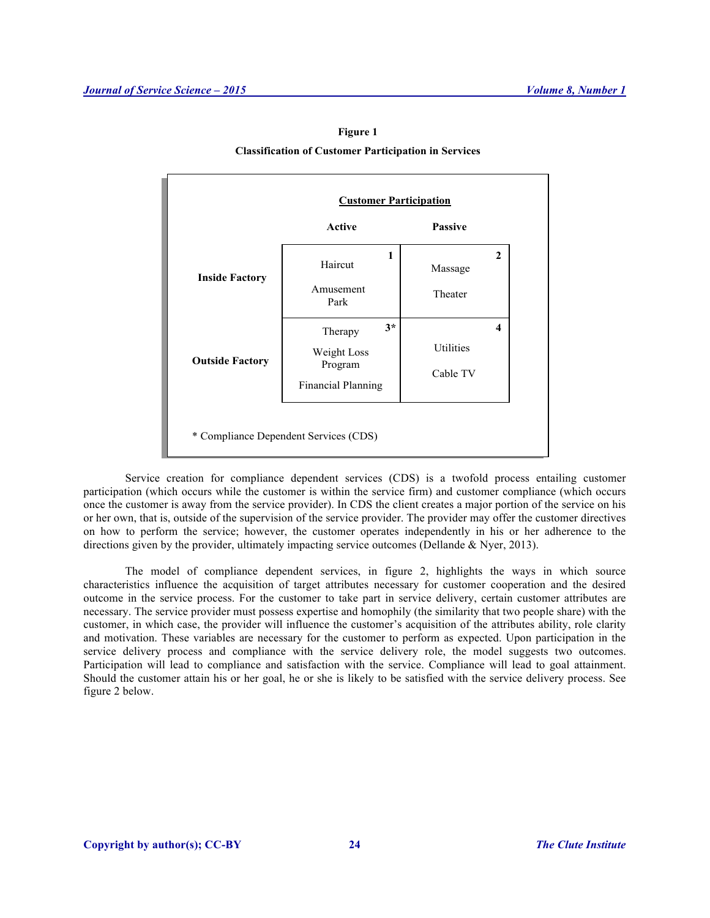#### **Figure 1**

#### **Classification of Customer Participation in Services**

|                        | <b>Customer Participation</b>        |                |                     |  |
|------------------------|--------------------------------------|----------------|---------------------|--|
|                        | <b>Active</b>                        | <b>Passive</b> |                     |  |
| <b>Inside Factory</b>  | 1<br>Haircut                         | Massage        | 2                   |  |
|                        | Amusement<br>Park                    | Theater        |                     |  |
| <b>Outside Factory</b> | $3*$<br>Therapy                      |                | $\overline{\bf{4}}$ |  |
|                        | Weight Loss                          | Utilities      |                     |  |
|                        | Program<br><b>Financial Planning</b> | Cable TV       |                     |  |

Service creation for compliance dependent services (CDS) is a twofold process entailing customer participation (which occurs while the customer is within the service firm) and customer compliance (which occurs once the customer is away from the service provider). In CDS the client creates a major portion of the service on his or her own, that is, outside of the supervision of the service provider. The provider may offer the customer directives on how to perform the service; however, the customer operates independently in his or her adherence to the directions given by the provider, ultimately impacting service outcomes (Dellande & Nyer, 2013).

The model of compliance dependent services, in figure 2, highlights the ways in which source characteristics influence the acquisition of target attributes necessary for customer cooperation and the desired outcome in the service process. For the customer to take part in service delivery, certain customer attributes are necessary. The service provider must possess expertise and homophily (the similarity that two people share) with the customer, in which case, the provider will influence the customer's acquisition of the attributes ability, role clarity and motivation. These variables are necessary for the customer to perform as expected. Upon participation in the service delivery process and compliance with the service delivery role, the model suggests two outcomes. Participation will lead to compliance and satisfaction with the service. Compliance will lead to goal attainment. Should the customer attain his or her goal, he or she is likely to be satisfied with the service delivery process. See figure 2 below.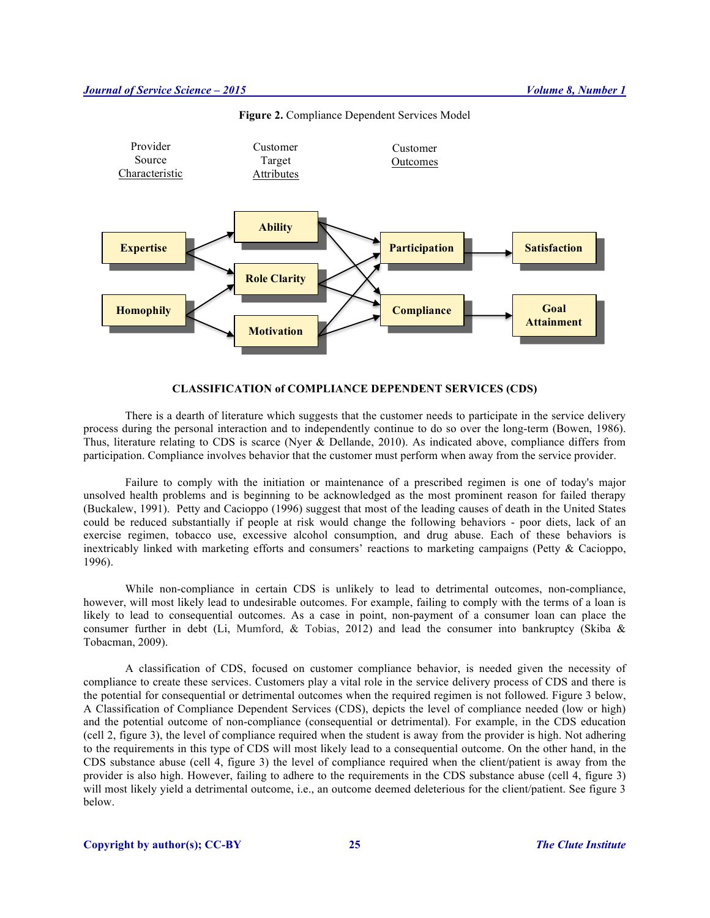

**Figure 2.** Compliance Dependent Services Model

#### **CLASSIFICATION of COMPLIANCE DEPENDENT SERVICES (CDS)**

There is a dearth of literature which suggests that the customer needs to participate in the service delivery process during the personal interaction and to independently continue to do so over the long-term (Bowen, 1986). Thus, literature relating to CDS is scarce (Nyer & Dellande, 2010). As indicated above, compliance differs from participation. Compliance involves behavior that the customer must perform when away from the service provider.

Failure to comply with the initiation or maintenance of a prescribed regimen is one of today's major unsolved health problems and is beginning to be acknowledged as the most prominent reason for failed therapy (Buckalew, 1991). Petty and Cacioppo (1996) suggest that most of the leading causes of death in the United States could be reduced substantially if people at risk would change the following behaviors - poor diets, lack of an exercise regimen, tobacco use, excessive alcohol consumption, and drug abuse. Each of these behaviors is inextricably linked with marketing efforts and consumers' reactions to marketing campaigns (Petty & Cacioppo, 1996).

While non-compliance in certain CDS is unlikely to lead to detrimental outcomes, non-compliance, however, will most likely lead to undesirable outcomes. For example, failing to comply with the terms of a loan is likely to lead to consequential outcomes. As a case in point, non-payment of a consumer loan can place the consumer further in debt (Li, Mumford, & Tobias, 2012) and lead the consumer into bankruptcy (Skiba & Tobacman, 2009).

A classification of CDS, focused on customer compliance behavior, is needed given the necessity of compliance to create these services. Customers play a vital role in the service delivery process of CDS and there is the potential for consequential or detrimental outcomes when the required regimen is not followed. Figure 3 below, A Classification of Compliance Dependent Services (CDS), depicts the level of compliance needed (low or high) and the potential outcome of non-compliance (consequential or detrimental). For example, in the CDS education (cell 2, figure 3), the level of compliance required when the student is away from the provider is high. Not adhering to the requirements in this type of CDS will most likely lead to a consequential outcome. On the other hand, in the CDS substance abuse (cell 4, figure 3) the level of compliance required when the client/patient is away from the provider is also high. However, failing to adhere to the requirements in the CDS substance abuse (cell 4, figure 3) will most likely yield a detrimental outcome, i.e., an outcome deemed deleterious for the client/patient. See figure 3 below.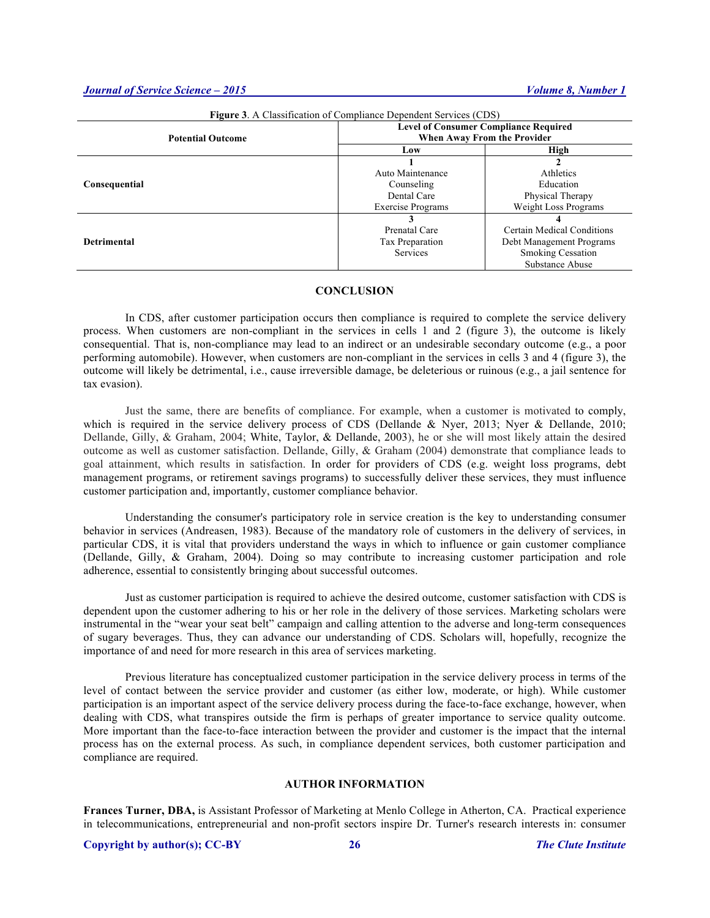| <b>Figure 3.</b> A Classification of Compliance Dependent Services (CDS) |                                                                             |                            |  |  |
|--------------------------------------------------------------------------|-----------------------------------------------------------------------------|----------------------------|--|--|
| <b>Potential Outcome</b>                                                 | <b>Level of Consumer Compliance Required</b><br>When Away From the Provider |                            |  |  |
|                                                                          | Low                                                                         | High                       |  |  |
|                                                                          |                                                                             |                            |  |  |
|                                                                          | Auto Maintenance                                                            | Athletics                  |  |  |
| Consequential                                                            | Counseling                                                                  | Education                  |  |  |
|                                                                          | Dental Care                                                                 | Physical Therapy           |  |  |
|                                                                          | <b>Exercise Programs</b>                                                    | Weight Loss Programs       |  |  |
|                                                                          |                                                                             |                            |  |  |
|                                                                          | Prenatal Care                                                               | Certain Medical Conditions |  |  |
| <b>Detrimental</b>                                                       | Tax Preparation                                                             | Debt Management Programs   |  |  |
|                                                                          | Services                                                                    | <b>Smoking Cessation</b>   |  |  |
|                                                                          |                                                                             | Substance Abuse            |  |  |

#### **CONCLUSION**

In CDS, after customer participation occurs then compliance is required to complete the service delivery process. When customers are non-compliant in the services in cells 1 and 2 (figure 3), the outcome is likely consequential. That is, non-compliance may lead to an indirect or an undesirable secondary outcome (e.g., a poor performing automobile). However, when customers are non-compliant in the services in cells 3 and 4 (figure 3), the outcome will likely be detrimental, i.e., cause irreversible damage, be deleterious or ruinous (e.g., a jail sentence for tax evasion).

Just the same, there are benefits of compliance. For example, when a customer is motivated to comply, which is required in the service delivery process of CDS (Dellande & Nyer, 2013; Nyer & Dellande, 2010; Dellande, Gilly, & Graham, 2004; White, Taylor, & Dellande, 2003), he or she will most likely attain the desired outcome as well as customer satisfaction. Dellande, Gilly, & Graham (2004) demonstrate that compliance leads to goal attainment, which results in satisfaction. In order for providers of CDS (e.g. weight loss programs, debt management programs, or retirement savings programs) to successfully deliver these services, they must influence customer participation and, importantly, customer compliance behavior.

Understanding the consumer's participatory role in service creation is the key to understanding consumer behavior in services (Andreasen, 1983). Because of the mandatory role of customers in the delivery of services, in particular CDS, it is vital that providers understand the ways in which to influence or gain customer compliance (Dellande, Gilly, & Graham, 2004). Doing so may contribute to increasing customer participation and role adherence, essential to consistently bringing about successful outcomes.

Just as customer participation is required to achieve the desired outcome, customer satisfaction with CDS is dependent upon the customer adhering to his or her role in the delivery of those services. Marketing scholars were instrumental in the "wear your seat belt" campaign and calling attention to the adverse and long-term consequences of sugary beverages. Thus, they can advance our understanding of CDS. Scholars will, hopefully, recognize the importance of and need for more research in this area of services marketing.

Previous literature has conceptualized customer participation in the service delivery process in terms of the level of contact between the service provider and customer (as either low, moderate, or high). While customer participation is an important aspect of the service delivery process during the face-to-face exchange, however, when dealing with CDS, what transpires outside the firm is perhaps of greater importance to service quality outcome. More important than the face-to-face interaction between the provider and customer is the impact that the internal process has on the external process. As such, in compliance dependent services, both customer participation and compliance are required.

#### **AUTHOR INFORMATION**

**Frances Turner, DBA,** is Assistant Professor of Marketing at Menlo College in Atherton, CA. Practical experience in telecommunications, entrepreneurial and non-profit sectors inspire Dr. Turner's research interests in: consumer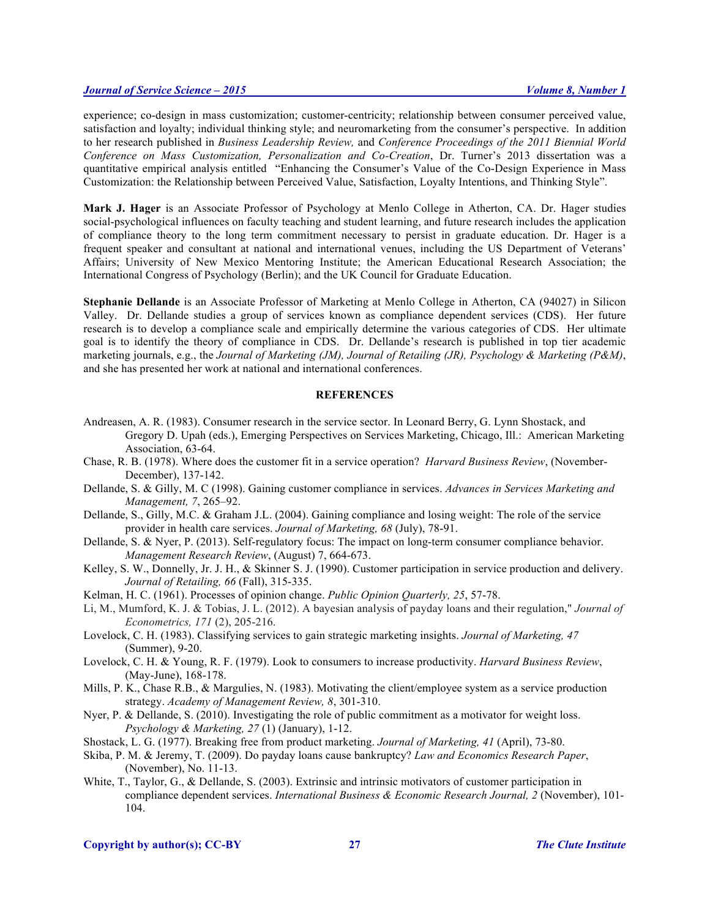experience; co-design in mass customization; customer-centricity; relationship between consumer perceived value, satisfaction and loyalty; individual thinking style; and neuromarketing from the consumer's perspective. In addition to her research published in *Business Leadership Review,* and *Conference Proceedings of the 2011 Biennial World Conference on Mass Customization, Personalization and Co-Creation*, Dr. Turner's 2013 dissertation was a quantitative empirical analysis entitled "Enhancing the Consumer's Value of the Co-Design Experience in Mass Customization: the Relationship between Perceived Value, Satisfaction, Loyalty Intentions, and Thinking Style".

**Mark J. Hager** is an Associate Professor of Psychology at Menlo College in Atherton, CA. Dr. Hager studies social-psychological influences on faculty teaching and student learning, and future research includes the application of compliance theory to the long term commitment necessary to persist in graduate education. Dr. Hager is a frequent speaker and consultant at national and international venues, including the US Department of Veterans' Affairs; University of New Mexico Mentoring Institute; the American Educational Research Association; the International Congress of Psychology (Berlin); and the UK Council for Graduate Education.

**Stephanie Dellande** is an Associate Professor of Marketing at Menlo College in Atherton, CA (94027) in Silicon Valley. Dr. Dellande studies a group of services known as compliance dependent services (CDS). Her future research is to develop a compliance scale and empirically determine the various categories of CDS. Her ultimate goal is to identify the theory of compliance in CDS. Dr. Dellande's research is published in top tier academic marketing journals, e.g., the *Journal of Marketing (JM), Journal of Retailing (JR), Psychology & Marketing (P&M)*, and she has presented her work at national and international conferences.

#### **REFERENCES**

- Andreasen, A. R. (1983). Consumer research in the service sector. In Leonard Berry, G. Lynn Shostack, and Gregory D. Upah (eds.), Emerging Perspectives on Services Marketing, Chicago, Ill.: American Marketing Association, 63-64.
- Chase, R. B. (1978). Where does the customer fit in a service operation? *Harvard Business Review*, (November-December), 137-142.
- Dellande, S. & Gilly, M. C (1998). Gaining customer compliance in services. *Advances in Services Marketing and Management, 7*, 265–92.
- Dellande, S., Gilly, M.C. & Graham J.L. (2004). Gaining compliance and losing weight: The role of the service provider in health care services. *Journal of Marketing, 68* (July), 78-91.
- Dellande, S. & Nyer, P. (2013). Self-regulatory focus: The impact on long-term consumer compliance behavior. *Management Research Review*, (August) 7, 664-673.
- Kelley, S. W., Donnelly, Jr. J. H., & Skinner S. J. (1990). Customer participation in service production and delivery. *Journal of Retailing, 66* (Fall), 315-335.
- Kelman, H. C. (1961). Processes of opinion change. *Public Opinion Quarterly, 25*, 57-78.
- Li, M., Mumford, K. J. & Tobias, J. L. (2012). A bayesian analysis of payday loans and their regulation," *Journal of Econometrics, 171* (2), 205-216.
- Lovelock, C. H. (1983). Classifying services to gain strategic marketing insights. *Journal of Marketing, 47* (Summer), 9-20.
- Lovelock, C. H. & Young, R. F. (1979). Look to consumers to increase productivity. *Harvard Business Review*, (May-June), 168-178.
- Mills, P. K., Chase R.B., & Margulies, N. (1983). Motivating the client/employee system as a service production strategy. *Academy of Management Review, 8*, 301-310.
- Nyer, P. & Dellande, S. (2010). Investigating the role of public commitment as a motivator for weight loss. *Psychology & Marketing, 27* (1) (January), 1-12.
- Shostack, L. G. (1977). Breaking free from product marketing. *Journal of Marketing, 41* (April), 73-80.
- Skiba, P. M. & Jeremy, T. (2009). Do payday loans cause bankruptcy? *Law and Economics Research Paper*, (November), No. 11-13.
- White, T., Taylor, G., & Dellande, S. (2003). Extrinsic and intrinsic motivators of customer participation in compliance dependent services. *International Business & Economic Research Journal, 2* (November), 101- 104.